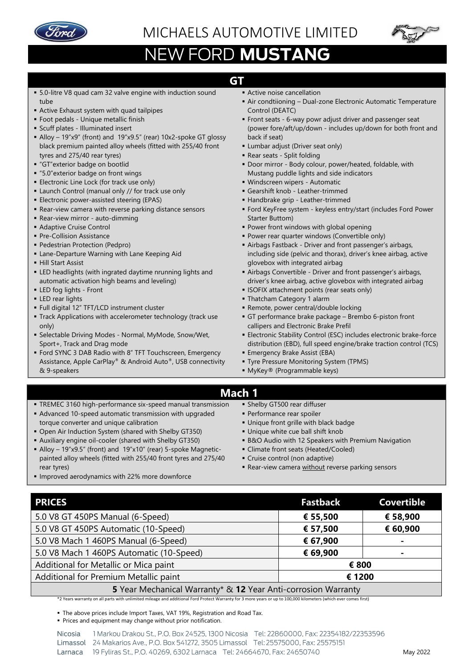

## MICHAELS AUTOMOTIVE LIMITED



## NEW FORD MUSTANG

## **GT**

- 5.0-litre V8 quad cam 32 valve engine with induction sound tube
- **EXTELLENGE Active Exhaust system with quad tailpipes**
- **Foot pedals Unique metallic finish**
- **Example 1 Scuff plates Illuminated insert**
- Alloy 19"x9" (front) and 19"x9.5" (rear) 10x2-spoke GT glossy black premium painted alloy wheels (fitted with 255/40 front tyres and 275/40 rear tyres)
- "GT"exterior badge on bootlid
- "5.0" exterior badge on front wings
- **Electronic Line Lock (for track use only)**
- **E** Launch Control (manual only // for track use only
- **Electronic power-assisted steering (EPAS)**
- Rear-view camera with reverse parking distance sensors
- Rear-view mirror auto-dimming
- Adaptive Cruise Control
- **Pre-Collision Assistance**
- **Pedestrian Protection (Pedpro)**
- **Exame-Departure Warning with Lane Keeping Aid**
- Hill Start Assist
- **ELD** headlights (with ingrated daytime nrunning lights and automatic activation high beams and leveling)
- **ELED** fog lights Front
- **ELED** rear lights
- Full digital 12" TFT/LCD instrument cluster
- **Track Applications with accelerometer technology (track use** only)
- **E** Selectable Driving Modes Normal, MyMode, Snow/Wet, Sport+, Track and Drag mode
- Ford SYNC 3 DAB Radio with 8" TFT Touchscreen, Emergency Assistance, Apple CarPlay® & Android Auto®, USB connectivity & 9-speakers
- **E** Active noise cancellation
	- Air condtiioning Dual-zone Electronic Automatic Temperature Control (DEATC)
- **Front seats 6-way powr adjust driver and passenger seat** (power fore/aft/up/down - includes up/down for both front and back if seat)
- **E** Lumbar adjust (Driver seat only)
- Rear seats Split folding
- **Door mirror Body colour, power/heated, foldable, with** Mustang puddle lights and side indicators
- Windscreen wipers Automatic
- **·** Gearshift knob Leather-trimmed
- Handbrake grip Leather-trimmed
- Ford KeyFree system keyless entry/start (includes Ford Power Starter Buttom)
- Power front windows with global opening
- **Power rear quarter windows (Convertible only)**
- **EXET** Airbags Fastback Driver and front passenger's airbags, including side (pelvic and thorax), driver's knee airbag, active glovebox with integrated airbag
- **EX Airbags Convertible Driver and front passenger's airbags,** driver's knee airbag, active glovebox with integrated airbag
- **EXECTEX** attachment points (rear seats only)
- Thatcham Category 1 alarm
- **Remote, power central/double locking**
- GT performance brake package Brembo 6-piston front callipers and Electronic Brake Prefil
- **Electronic Stability Control (ESC) includes electronic brake-force** distribution (EBD), full speed engine/brake traction control (TCS)
- **Emergency Brake Assist (EBA)**
- **Tyre Pressure Monitoring System (TPMS)**
- MyKey® (Programmable keys)

## **Mach 1**

- **TREMEC 3160 high-performance six-speed manual transmission**
- Advanced 10-speed automatic transmission with upgraded torque converter and unique calibration
- Open Air Induction System (shared with Shelby GT350)
- Auxiliary engine oil-cooler (shared with Shelby GT350)
- Alloy 19"x9.5" (front) and 19"x10" (rear) 5-spoke Magneticpainted alloy wheels (fitted with 255/40 front tyres and 275/40 rear tyres)
- **.** Improved aerodynamics with 22% more downforce
- **· Shelby GT500 rear diffuser**
- **Performance rear spoiler**
- **.** Unique front grille with black badge
- **.** Unique white cue ball shift knob
- B&O Audio with 12 Speakers with Premium Navigation
- **E** Climate front seats (Heated/Cooled)
- Cruise control (non adaptive)
- **E** Rear-view camera without reverse parking sensors

| <b>PRICES</b>                                                 | <b>Fastback</b> | <b>Covertible</b> |  |  |  |
|---------------------------------------------------------------|-----------------|-------------------|--|--|--|
| 5.0 V8 GT 450PS Manual (6-Speed)                              | € 55,500        | € 58,900          |  |  |  |
| 5.0 V8 GT 450PS Automatic (10-Speed)                          | € 57,500        | € 60,900          |  |  |  |
| 5.0 V8 Mach 1 460PS Manual (6-Speed)                          | € 67,900        |                   |  |  |  |
| 5.0 V8 Mach 1 460PS Automatic (10-Speed)                      | € 69,900        |                   |  |  |  |
| Additional for Metallic or Mica paint                         | € 800           |                   |  |  |  |
| Additional for Premium Metallic paint                         | € 1200          |                   |  |  |  |
| 5 Year Mechanical Warranty* & 12 Year Anti-corrosion Warranty |                 |                   |  |  |  |

\*2 Years warranty on all parts with unlimited mileage and additional Ford Protect Warranty for 3 more years or up to 100,000 kilometers (which ever comes first)

**• The above prices include Import Taxes, VAT 19%, Registration and Road Tax.** 

▪ Prices and equipment may change without prior notification.

1 Markou Drakou St., P.O. Box 24525, 1300 Nicosia Tel: 22860000, Fax: 22354182/22353596 Nicosia Limassol 24 Makarios Ave., P.O. Box 541272, 3505 Limassol Tel: 25575000, Fax: 25575151 19 Fyliras St., P.O. 40269, 6302 Larnaca Tel: 24664670, Fax: 24650740 Larnaca

- - -
		-